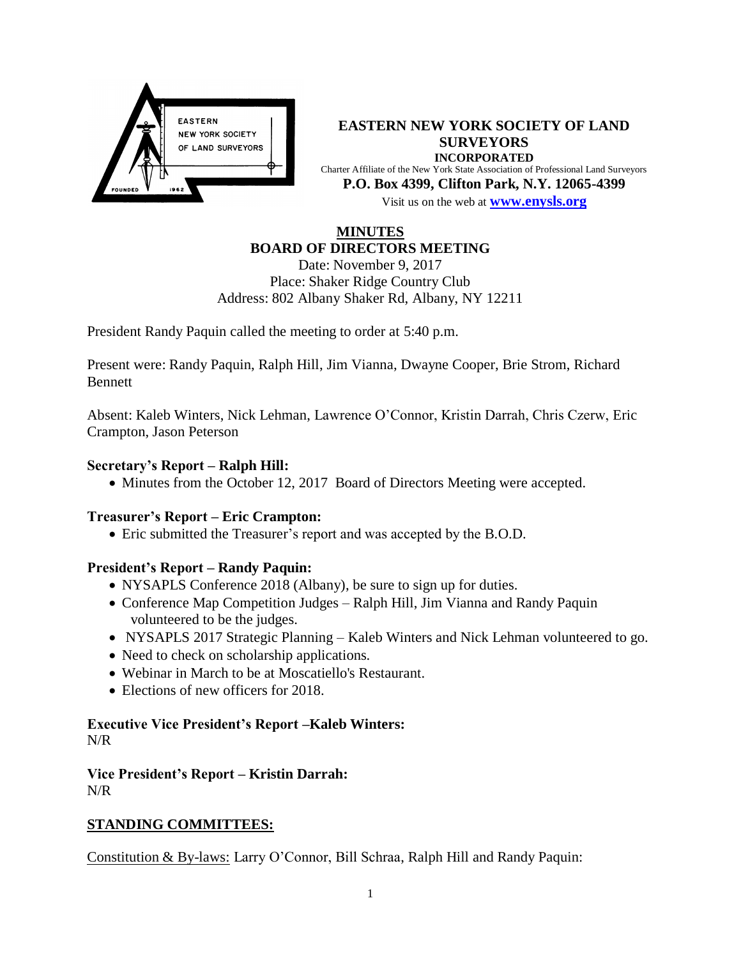

**EASTERN NEW YORK SOCIETY OF LAND SURVEYORS INCORPORATED** Charter Affiliate of the New York State Association of Professional Land Surveyors **P.O. Box 4399, Clifton Park, N.Y. 12065-4399** Visit us on the web at **[www.e](http://www.enysls.org/)nysls.org**

### **MINUTES BOARD OF DIRECTORS MEETING**

Date: November 9, 2017 Place: Shaker Ridge Country Club Address: 802 Albany Shaker Rd, Albany, NY 12211

President Randy Paquin called the meeting to order at 5:40 p.m.

Present were: Randy Paquin, Ralph Hill, Jim Vianna, Dwayne Cooper, Brie Strom, Richard Bennett

Absent: Kaleb Winters, Nick Lehman, Lawrence O'Connor, Kristin Darrah, Chris Czerw, Eric Crampton, Jason Peterson

### **Secretary's Report – Ralph Hill:**

• Minutes from the October 12, 2017 Board of Directors Meeting were accepted.

#### **Treasurer's Report – Eric Crampton:**

Eric submitted the Treasurer's report and was accepted by the B.O.D.

# **President's Report – Randy Paquin:**

- NYSAPLS Conference 2018 (Albany), be sure to sign up for duties.
- Conference Map Competition Judges Ralph Hill, Jim Vianna and Randy Paquin volunteered to be the judges.
- NYSAPLS 2017 Strategic Planning Kaleb Winters and Nick Lehman volunteered to go.
- Need to check on scholarship applications.
- Webinar in March to be at Moscatiello's Restaurant.
- Elections of new officers for 2018.

# **Executive Vice President's Report –Kaleb Winters:**

N/R

**Vice President's Report – Kristin Darrah:**  N/R

# **STANDING COMMITTEES:**

Constitution & By-laws: Larry O'Connor, Bill Schraa, Ralph Hill and Randy Paquin: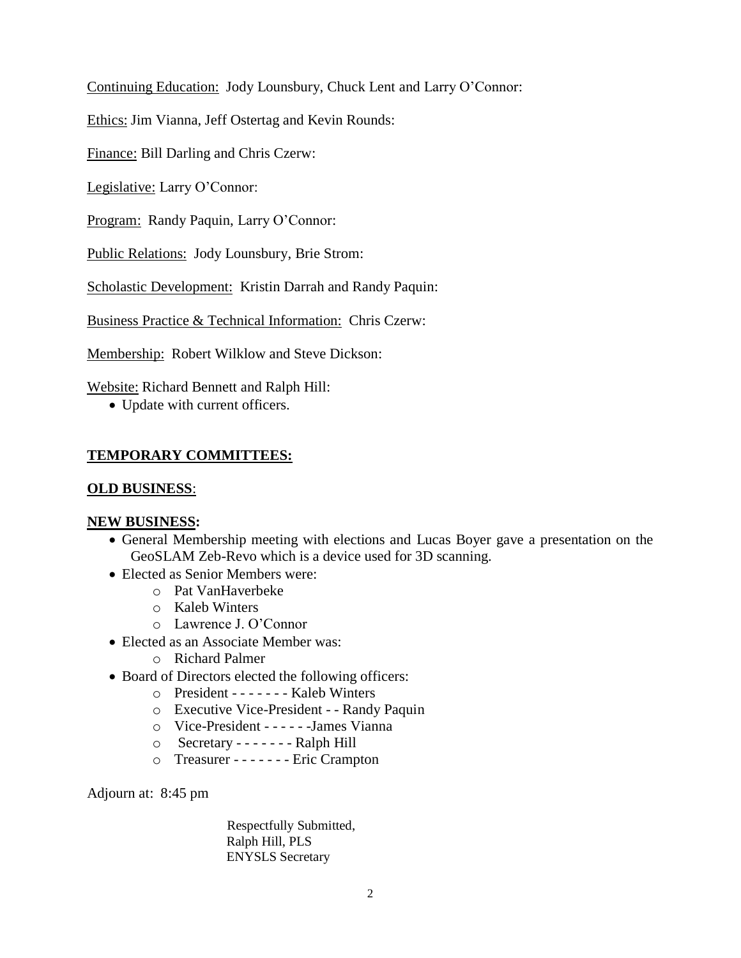Continuing Education: Jody Lounsbury, Chuck Lent and Larry O'Connor:

Ethics: Jim Vianna, Jeff Ostertag and Kevin Rounds:

Finance: Bill Darling and Chris Czerw:

Legislative: Larry O'Connor:

Program: Randy Paquin, Larry O'Connor:

Public Relations: Jody Lounsbury, Brie Strom:

Scholastic Development: Kristin Darrah and Randy Paquin:

Business Practice & Technical Information: Chris Czerw:

Membership: Robert Wilklow and Steve Dickson:

Website: Richard Bennett and Ralph Hill:

Update with current officers.

### **TEMPORARY COMMITTEES:**

#### **OLD BUSINESS**:

#### **NEW BUSINESS:**

- General Membership meeting with elections and Lucas Boyer gave a presentation on the GeoSLAM Zeb-Revo which is a device used for 3D scanning.
- Elected as Senior Members were:
	- o Pat VanHaverbeke
	- o Kaleb Winters
	- o Lawrence J. O'Connor
- Elected as an Associate Member was:
	- o Richard Palmer
- Board of Directors elected the following officers:
	- o President - - - Kaleb Winters
	- o Executive Vice-President - Randy Paquin
	- o Vice-President - - -James Vianna
	- o Secretary - - - Ralph Hill
	- o Treasurer - - - Eric Crampton

Adjourn at: 8:45 pm

 Respectfully Submitted, Ralph Hill, PLS ENYSLS Secretary